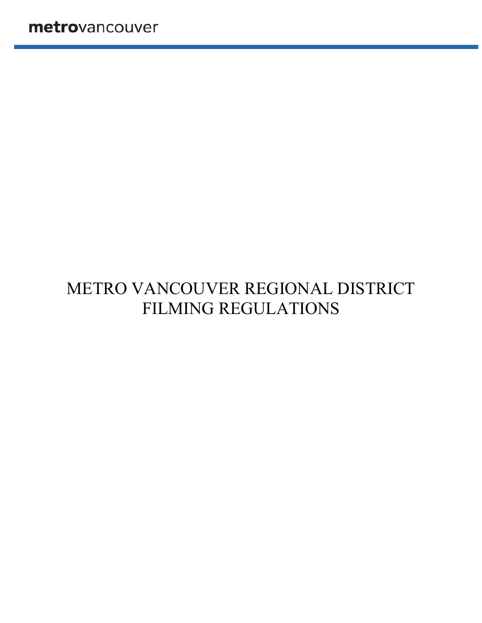# METRO VANCOUVER REGIONAL DISTRICT FILMING REGULATIONS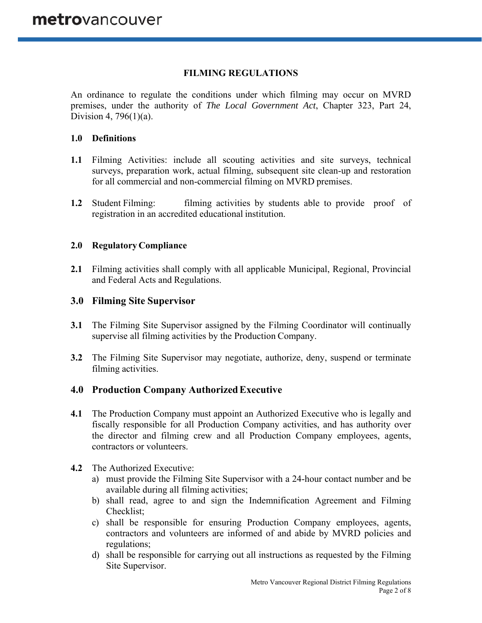# **FILMING REGULATIONS**

An ordinance to regulate the conditions under which filming may occur on MVRD premises, under the authority of *The Local Government Act*, Chapter 323, Part 24, Division 4, 796(1)(a).

## **1.0 Definitions**

- **1.1** Filming Activities: include all scouting activities and site surveys, technical surveys, preparation work, actual filming, subsequent site clean-up and restoration for all commercial and non-commercial filming on MVRD premises.
- **1.2** Student Filming: filming activities by students able to provide proof of registration in an accredited educational institution.

## **2.0 Regulatory Compliance**

**2.1** Filming activities shall comply with all applicable Municipal, Regional, Provincial and Federal Acts and Regulations.

## **3.0 Filming Site Supervisor**

- **3.1** The Filming Site Supervisor assigned by the Filming Coordinator will continually supervise all filming activities by the Production Company.
- **3.2** The Filming Site Supervisor may negotiate, authorize, deny, suspend or terminate filming activities.

# **4.0 Production Company Authorized Executive**

- **4.1** The Production Company must appoint an Authorized Executive who is legally and fiscally responsible for all Production Company activities, and has authority over the director and filming crew and all Production Company employees, agents, contractors or volunteers.
- **4.2** The Authorized Executive:
	- a) must provide the Filming Site Supervisor with a 24-hour contact number and be available during all filming activities;
	- b) shall read, agree to and sign the Indemnification Agreement and Filming Checklist;
	- c) shall be responsible for ensuring Production Company employees, agents, contractors and volunteers are informed of and abide by MVRD policies and regulations;
	- d) shall be responsible for carrying out all instructions as requested by the Filming Site Supervisor.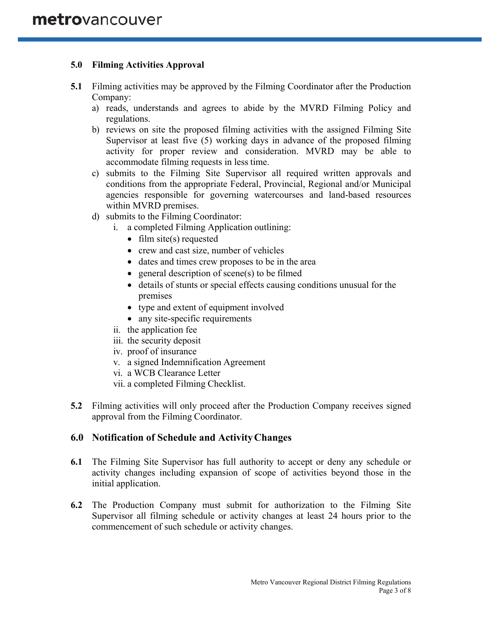# **5.0 Filming Activities Approval**

- **5.1** Filming activities may be approved by the Filming Coordinator after the Production Company:
	- a) reads, understands and agrees to abide by the MVRD Filming Policy and regulations.
	- b) reviews on site the proposed filming activities with the assigned Filming Site Supervisor at least five (5) working days in advance of the proposed filming activity for proper review and consideration. MVRD may be able to accommodate filming requests in less time.
	- c) submits to the Filming Site Supervisor all required written approvals and conditions from the appropriate Federal, Provincial, Regional and/or Municipal agencies responsible for governing watercourses and land-based resources within MVRD premises.
	- d) submits to the Filming Coordinator:
		- i. a completed Filming Application outlining:
			- $\bullet$  film site(s) requested
			- crew and cast size, number of vehicles
			- dates and times crew proposes to be in the area
			- $\bullet$  general description of scene(s) to be filmed
			- details of stunts or special effects causing conditions unusual for the premises
			- type and extent of equipment involved
			- any site-specific requirements
		- ii. the application fee
		- iii. the security deposit
		- iv. proof of insurance
		- v. a signed Indemnification Agreement
		- vi. a WCB Clearance Letter
		- vii. a completed Filming Checklist.
- **5.2** Filming activities will only proceed after the Production Company receives signed approval from the Filming Coordinator.

# **6.0 Notification of Schedule and Activity Changes**

- **6.1** The Filming Site Supervisor has full authority to accept or deny any schedule or activity changes including expansion of scope of activities beyond those in the initial application.
- **6.2** The Production Company must submit for authorization to the Filming Site Supervisor all filming schedule or activity changes at least 24 hours prior to the commencement of such schedule or activity changes.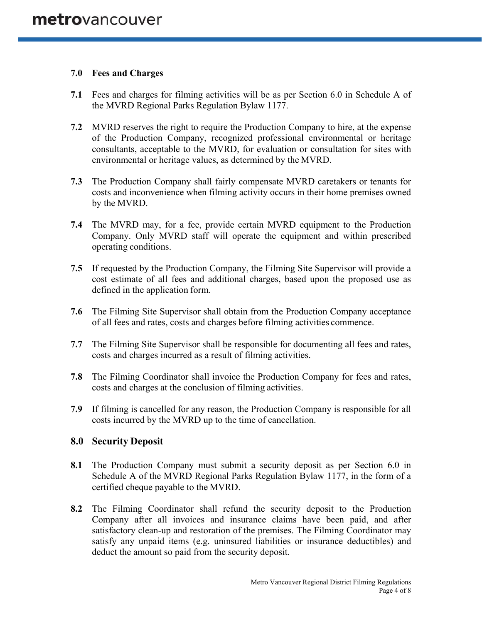## **7.0 Fees and Charges**

- **7.1** Fees and charges for filming activities will be as per Section 6.0 in Schedule A of the MVRD Regional Parks Regulation Bylaw 1177.
- **7.2** MVRD reserves the right to require the Production Company to hire, at the expense of the Production Company, recognized professional environmental or heritage consultants, acceptable to the MVRD, for evaluation or consultation for sites with environmental or heritage values, as determined by the MVRD.
- **7.3** The Production Company shall fairly compensate MVRD caretakers or tenants for costs and inconvenience when filming activity occurs in their home premises owned by the MVRD.
- **7.4** The MVRD may, for a fee, provide certain MVRD equipment to the Production Company. Only MVRD staff will operate the equipment and within prescribed operating conditions.
- **7.5** If requested by the Production Company, the Filming Site Supervisor will provide a cost estimate of all fees and additional charges, based upon the proposed use as defined in the application form.
- **7.6** The Filming Site Supervisor shall obtain from the Production Company acceptance of all fees and rates, costs and charges before filming activities commence.
- **7.7** The Filming Site Supervisor shall be responsible for documenting all fees and rates, costs and charges incurred as a result of filming activities.
- **7.8** The Filming Coordinator shall invoice the Production Company for fees and rates, costs and charges at the conclusion of filming activities.
- **7.9** If filming is cancelled for any reason, the Production Company is responsible for all costs incurred by the MVRD up to the time of cancellation.

# **8.0 Security Deposit**

- **8.1** The Production Company must submit a security deposit as per Section 6.0 in Schedule A of the MVRD Regional Parks Regulation Bylaw 1177, in the form of a certified cheque payable to the MVRD.
- **8.2** The Filming Coordinator shall refund the security deposit to the Production Company after all invoices and insurance claims have been paid, and after satisfactory clean-up and restoration of the premises. The Filming Coordinator may satisfy any unpaid items (e.g. uninsured liabilities or insurance deductibles) and deduct the amount so paid from the security deposit.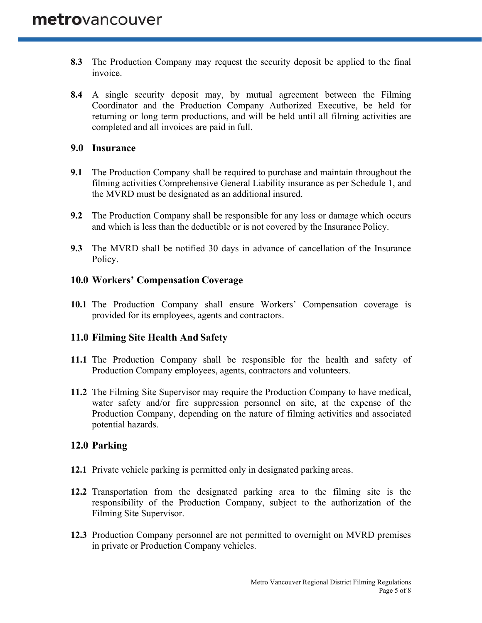- **8.3** The Production Company may request the security deposit be applied to the final invoice.
- **8.4** A single security deposit may, by mutual agreement between the Filming Coordinator and the Production Company Authorized Executive, be held for returning or long term productions, and will be held until all filming activities are completed and all invoices are paid in full.

## **9.0 Insurance**

- **9.1** The Production Company shall be required to purchase and maintain throughout the filming activities Comprehensive General Liability insurance as per Schedule 1, and the MVRD must be designated as an additional insured.
- **9.2** The Production Company shall be responsible for any loss or damage which occurs and which is less than the deductible or is not covered by the Insurance Policy.
- **9.3** The MVRD shall be notified 30 days in advance of cancellation of the Insurance Policy.

# **10.0 Workers' Compensation Coverage**

**10.1** The Production Company shall ensure Workers' Compensation coverage is provided for its employees, agents and contractors.

# **11.0 Filming Site Health And Safety**

- **11.1** The Production Company shall be responsible for the health and safety of Production Company employees, agents, contractors and volunteers.
- **11.2** The Filming Site Supervisor may require the Production Company to have medical, water safety and/or fire suppression personnel on site, at the expense of the Production Company, depending on the nature of filming activities and associated potential hazards.

# **12.0 Parking**

- **12.1** Private vehicle parking is permitted only in designated parking areas.
- **12.2** Transportation from the designated parking area to the filming site is the responsibility of the Production Company, subject to the authorization of the Filming Site Supervisor.
- **12.3** Production Company personnel are not permitted to overnight on MVRD premises in private or Production Company vehicles.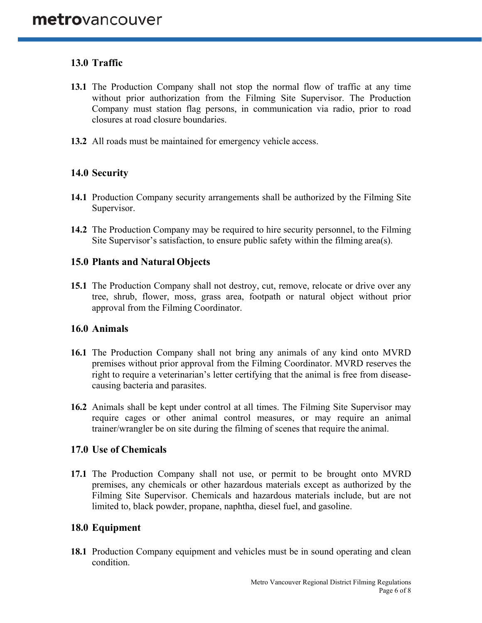# **13.0 Traffic**

- **13.1** The Production Company shall not stop the normal flow of traffic at any time without prior authorization from the Filming Site Supervisor. The Production Company must station flag persons, in communication via radio, prior to road closures at road closure boundaries.
- **13.2** All roads must be maintained for emergency vehicle access.

# **14.0 Security**

- **14.1** Production Company security arrangements shall be authorized by the Filming Site Supervisor.
- **14.2** The Production Company may be required to hire security personnel, to the Filming Site Supervisor's satisfaction, to ensure public safety within the filming area(s).

## **15.0 Plants and Natural Objects**

**15.1** The Production Company shall not destroy, cut, remove, relocate or drive over any tree, shrub, flower, moss, grass area, footpath or natural object without prior approval from the Filming Coordinator.

#### **16.0 Animals**

- **16.1** The Production Company shall not bring any animals of any kind onto MVRD premises without prior approval from the Filming Coordinator. MVRD reserves the right to require a veterinarian's letter certifying that the animal is free from diseasecausing bacteria and parasites.
- **16.2** Animals shall be kept under control at all times. The Filming Site Supervisor may require cages or other animal control measures, or may require an animal trainer/wrangler be on site during the filming of scenes that require the animal.

#### **17.0 Use of Chemicals**

**17.1** The Production Company shall not use, or permit to be brought onto MVRD premises, any chemicals or other hazardous materials except as authorized by the Filming Site Supervisor. Chemicals and hazardous materials include, but are not limited to, black powder, propane, naphtha, diesel fuel, and gasoline.

# **18.0 Equipment**

**18.1** Production Company equipment and vehicles must be in sound operating and clean condition.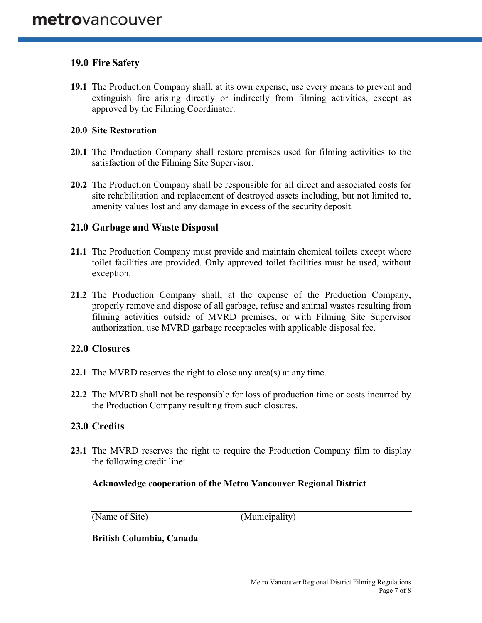# **19.0 Fire Safety**

**19.1** The Production Company shall, at its own expense, use every means to prevent and extinguish fire arising directly or indirectly from filming activities, except as approved by the Filming Coordinator.

#### **20.0 Site Restoration**

- **20.1** The Production Company shall restore premises used for filming activities to the satisfaction of the Filming Site Supervisor.
- **20.2** The Production Company shall be responsible for all direct and associated costs for site rehabilitation and replacement of destroyed assets including, but not limited to, amenity values lost and any damage in excess of the security deposit.

# **21.0 Garbage and Waste Disposal**

- **21.1** The Production Company must provide and maintain chemical toilets except where toilet facilities are provided. Only approved toilet facilities must be used, without exception.
- **21.2** The Production Company shall, at the expense of the Production Company, properly remove and dispose of all garbage, refuse and animal wastes resulting from filming activities outside of MVRD premises, or with Filming Site Supervisor authorization, use MVRD garbage receptacles with applicable disposal fee.

# **22.0 Closures**

- **22.1** The MVRD reserves the right to close any area(s) at any time.
- **22.2** The MVRD shall not be responsible for loss of production time or costs incurred by the Production Company resulting from such closures.

# **23.0 Credits**

**23.1** The MVRD reserves the right to require the Production Company film to display the following credit line:

#### **Acknowledge cooperation of the Metro Vancouver Regional District**

(Name of Site) (Municipality)

**British Columbia, Canada**